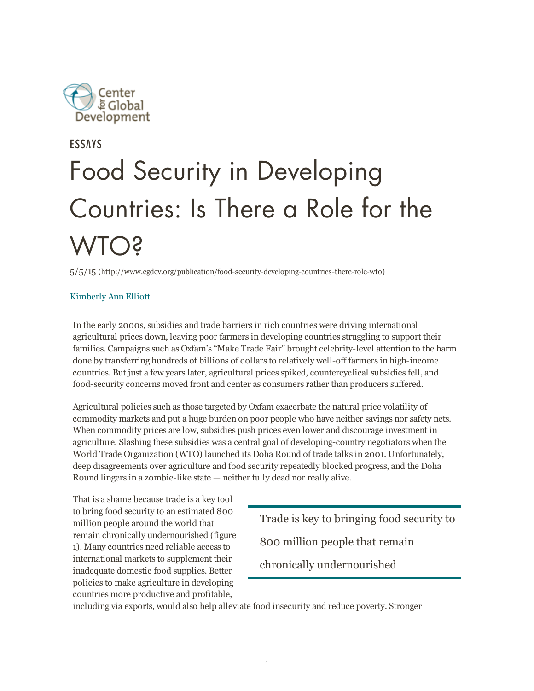

# ESSAYS Food Security in Developing Countries: Is There a Role for the WTO?

 $5/5/15$  (http://www.cgdev.org/publication/food-security-developing-countries-there-role-wto)

#### [Kimberly Ann Elliott](http://www.cgdev.org/expert/kimberly-ann-elliott)

In the early 2000s, subsidies and trade barriers in rich countries were driving international agricultural prices down, leaving poor farmers in developing countries struggling to support their families. Campaigns such as Oxfam's "Make Trade Fair" brought celebrity-level attention to the harm done by transferring hundreds of billions of dollars to relatively well-off farmers in high-income countries. But just a few years later, agricultural prices spiked, countercyclical subsidies fell, and food-security concerns moved front and center as consumers rather than producers suffered.

Agricultural policies such as those targeted by Oxfam exacerbate the natural price volatility of commodity markets and put a huge burden on poor people who have neither savings nor safety nets. When commodity prices are low, subsidies push prices even lower and discourage investment in agriculture. Slashing these subsidies was a central goal of developing-country negotiators when the World Trade Organization (WTO) launched its Doha Round of trade talks in 2001. Unfortunately, deep disagreements over agriculture and food security repeatedly blocked progress, and the Doha Round lingers in a zombie-like state  $-$  neither fully dead nor really alive.

That is a shame because trade is a key tool to bring food security to an estimated 800 million people around the world that remain chronically undernourished (figure 1). Many countries need reliable access to international markets to supplement their inadequate domestic food supplies. Better policies to make agriculture in developing countries more productive and profitable,

Trade is key to bringing food security to 800 million people that remain chronically undernourished

including via exports, would also help alleviate food insecurity and reduce poverty. Stronger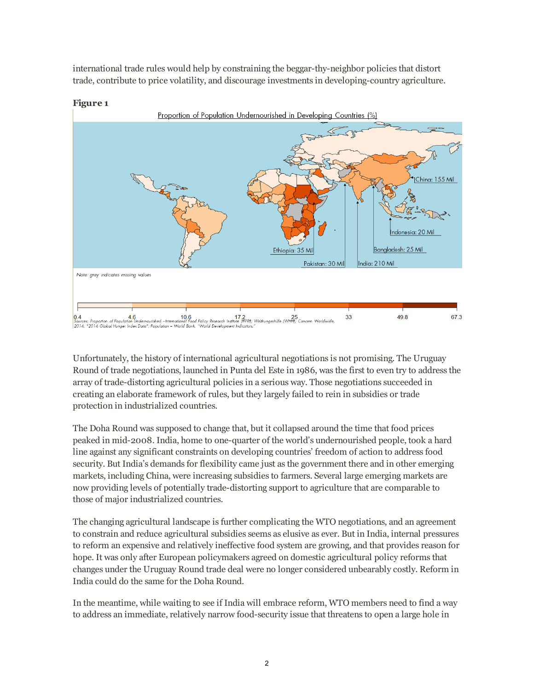international trade rules would help by constraining the beggar-thy-neighbor policies that distort trade, contribute to price volatility, and discourage investments in developing-country agriculture.



#### Figure 1

Unfortunately, the history of international agricultural negotiations is not promising. The Uruguay Round of trade negotiations, launched in Punta del Este in 1986, was the first to even try to address the array of trade-distorting agricultural policies in a serious way. Those negotiations succeeded in creating an elaborate framework of rules, but they largely failed to rein in subsidies or trade protection in industrialized countries.

The Doha Round was supposed to change that, but it collapsed around the time that food prices peaked in mid-2008. India, home to one-quarter of the world's undernourished people, took a hard line against any significant constraints on developing countries' freedom of action to address food security. But India's demands for flexibility came just as the government there and in other emerging markets, including China, were increasing subsidies to farmers. Several large emerging markets are now providing levels of potentially trade-distorting support to agriculture that are comparable to those of major industrialized countries.

The changing agricultural landscape is further complicating the WTO negotiations, and an agreement to constrain and reduce agricultural subsidies seems as elusive as ever. But in India, internal pressures to reform an expensive and relatively ineffective food system are growing, and that provides reason for hope. It was only after European policymakers agreed on domestic agricultural policy reforms that changes under the Uruguay Round trade deal were no longer considered unbearably costly. Reform in India could do the same for the Doha Round.

In the meantime, while waiting to see if India will embrace reform, WTO members need to find a way to address an immediate, relatively narrow food-security issue that threatens to open a large hole in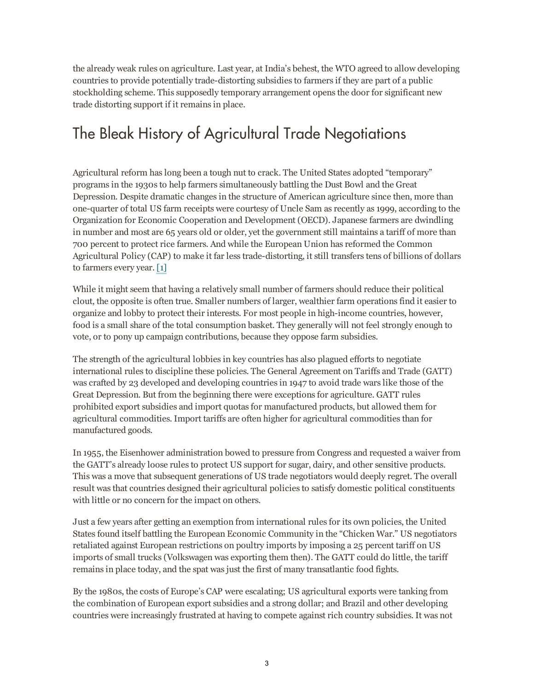the already weak rules on agriculture. Last year, at India's behest, the WTO agreed to allow developing countries to provide potentially trade-distorting subsidies to farmers if they are part of a public stockholding scheme. This supposedly temporary arrangement opens the door for significant new trade distorting support if it remains in place.

## The Bleak History of Agricultural Trade Negotiations

Agricultural reform has long been a tough nut to crack. The United States adopted "temporary" programs in the 1930s to help farmers simultaneously battling the Dust Bowl and the Great Depression. Despite dramatic changes in the structure of American agriculture since then, more than one-quarter of total US farm receipts were courtesy of Uncle Sam as recently as 1999, according to the Organization for Economic Cooperation and Development (OECD). Japanese farmers are dwindling in number and most are 65 years old or older, yet the government still maintains a tariff of more than 700 percent to protect rice farmers. And while the European Union has reformed the Common Agricultural Policy (CAP) to make it far less trade-distorting, it still transfers tens of billions of dollars to farmers every year. [\[1\]](javascript:void(0);)

While it might seem that having a relatively small number of farmers should reduce their political clout, the opposite is often true. Smaller numbers of larger, wealthier farm operations find it easier to organize and lobby to protect their interests. For most people in high-income countries, however, food is a small share of the total consumption basket. They generally will not feel strongly enough to vote, or to pony up campaign contributions, because they oppose farm subsidies.

The strength of the agricultural lobbies in key countries has also plagued efforts to negotiate international rules to discipline these policies. The General Agreement on Tariffs and Trade (GATT) was crafted by 23 developed and developing countries in 1947 to avoid trade wars like those of the Great Depression. But from the beginning there were exceptions for agriculture. GATT rules prohibited export subsidies and import quotas for manufactured products, but allowed them for agricultural commodities. Import tariffs are often higher for agricultural commodities than for manufactured goods.

In 1955, the Eisenhower administration bowed to pressure from Congress and requested a waiver from the GATT's already loose rules to protect US support for sugar, dairy, and other sensitive products. This was a move that subsequent generations of US trade negotiators would deeply regret. The overall result was that countries designed their agricultural policies to satisfy domestic political constituents with little or no concern for the impact on others.

Just a few years after getting an exemption from international rules for its own policies, the United States found itself battling the European Economic Community in the "Chicken War." US negotiators retaliated against European restrictions on poultry imports by imposing a 25 percent tariff on US imports of small trucks (Volkswagen was exporting them then). The GATT could do little, the tariff remains in place today, and the spat was just the first of many transatlantic food fights.

By the 1980s, the costs of Europe's CAP were escalating; US agricultural exports were tanking from the combination of European export subsidies and a strong dollar; and Brazil and other developing countries were increasingly frustrated at having to compete against rich country subsidies. It was not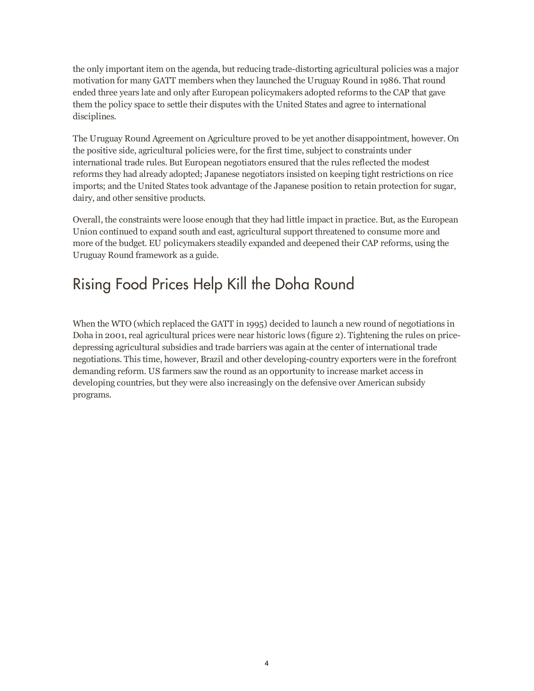the only important item on the agenda, but reducing trade-distorting agricultural policies was a major motivation for many GATT members when they launched the Uruguay Round in 1986. That round ended three years late and only after European policymakers adopted reforms to the CAP that gave them the policy space to settle their disputes with the United States and agree to international disciplines.

The Uruguay Round Agreement on Agriculture proved to be yet another disappointment, however. On the positive side, agricultural policies were, for the first time, subject to constraints under international trade rules. But European negotiators ensured that the rules reflected the modest reforms they had already adopted; Japanese negotiators insisted on keeping tight restrictions on rice imports; and the United States took advantage of the Japanese position to retain protection for sugar, dairy, and other sensitive products.

Overall, the constraints were loose enough that they had little impact in practice. But, as the European Union continued to expand south and east, agricultural support threatened to consume more and more of the budget. EU policymakers steadily expanded and deepened their CAP reforms, using the Uruguay Round framework as a guide.

## Rising Food Prices Help Kill the Doha Round

When the WTO (which replaced the GATT in 1995) decided to launch a new round of negotiations in Doha in 2001, real agricultural prices were near historic lows (figure 2). Tightening the rules on pricedepressing agricultural subsidies and trade barriers was again at the center of international trade negotiations. This time, however, Brazil and other developing-country exporters were in the forefront demanding reform. US farmers saw the round as an opportunity to increase market access in developing countries, but they were also increasingly on the defensive over American subsidy programs.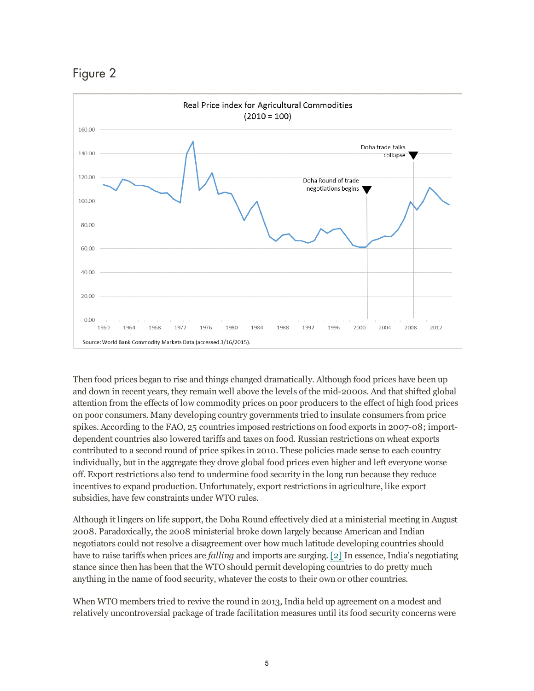



Then food prices began to rise and things changed dramatically. Although food prices have been up and down in recent years, they remain well above the levels of the mid-2000s. And that shifted global attention from the effects of low commodity prices on poor producers to the effect of high food prices on poor consumers. Many developing country governments tried to insulate consumers from price spikes. According to the FAO, 25 countries imposed restrictions on food exports in 2007-08; importdependent countries also lowered tariffs and taxes on food. Russian restrictions on wheat exports contributed to a second round of price spikes in 2010. These policies made sense to each country individually, but in the aggregate they drove global food prices even higher and left everyone worse off. Export restrictions also tend to undermine food security in the long run because they reduce incentives to expand production. Unfortunately, export restrictions in agriculture, like export subsidies, have few constraints under WTO rules.

Although it lingers on life support, the Doha Round effectively died at a ministerial meeting in August 2008. Paradoxically, the 2008 ministerial broke down largely because American and Indian negotiators could not resolve a disagreement over how much latitude developing countries should have to raise tariffs when prices are *falling* and imports are surging. [\[2\]](javascript:void(0);) In essence, India's negotiating stance since then has been that the WTO should permit developing countries to do pretty much anything in the name of food security, whatever the costs to their own or other countries.

When WTO members tried to revive the round in 2013, India held up agreement on a modest and relatively uncontroversial package of trade facilitation measures until its food security concerns were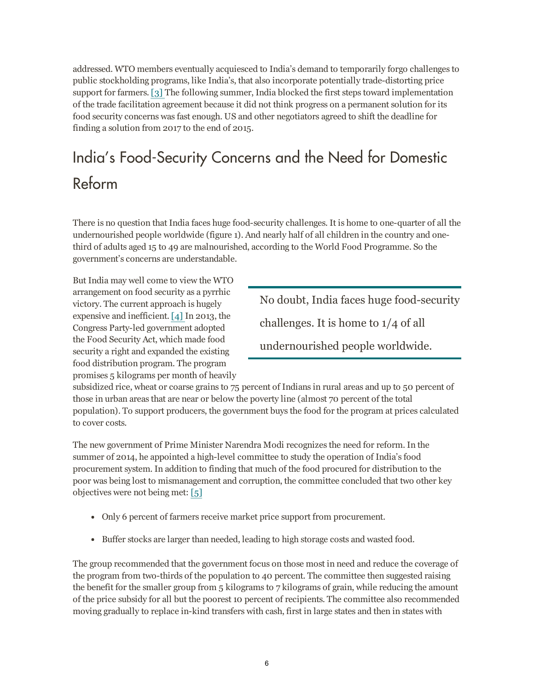addressed. WTO members eventually acquiesced to India's demand to temporarily forgo challenges to public stockholding programs, like India's, that also incorporate potentially trade-distorting price support for farmers. [\[3\]](javascript:void(0);) The following summer, India blocked the first steps toward implementation of the trade facilitation agreement because it did not think progress on a permanent solution for its food security concerns was fast enough. US and other negotiators agreed to shift the deadline for finding a solution from 2017 to the end of 2015.

## India's Food-Security Concerns and the Need for Domestic Reform

There is no question that India faces huge food-security challenges. It is home to one-quarter of all the undernourished people worldwide (figure 1). And nearly half of all children in the country and onethird of adults aged 15 to 49 are malnourished, according to the World Food Programme. So the government's concerns are understandable.

But India may well come to view the WTO arrangement on food security as a pyrrhic victory. The current approach is hugely expensive and inefficient. [\[4\]](javascript:void(0);) In 2013, the Congress Party-led government adopted the Food Security Act, which made food security a right and expanded the existing food distribution program. The program promises 5 kilograms per month of heavily

No doubt, India faces huge food-security challenges. It is home to 1/4 of all undernourished people worldwide.

subsidized rice, wheat or coarse grains to 75 percent of Indians in rural areas and up to 50 percent of those in urban areas that are near or below the poverty line (almost 70 percent of the total population). To support producers, the government buys the food for the program at prices calculated to cover costs.

The new government of Prime Minister Narendra Modi recognizes the need for reform. In the summer of 2014, he appointed a high-level committee to study the operation of India's food procurement system. In addition to finding that much of the food procured for distribution to the poor was being lost to mismanagement and corruption, the committee concluded that two other key objectives were not being met: [\[5\]](javascript:void(0);)

- Only 6 percent of farmers receive market price support from procurement.
- Buffer stocks are larger than needed, leading to high storage costs and wasted food.

The group recommended that the government focus on those most in need and reduce the coverage of the program from two-thirds of the population to 40 percent. The committee then suggested raising the benefit for the smaller group from 5 kilograms to 7 kilograms of grain, while reducing the amount of the price subsidy for all but the poorest 10 percent of recipients. The committee also recommended moving gradually to replace in-kind transfers with cash, first in large states and then in states with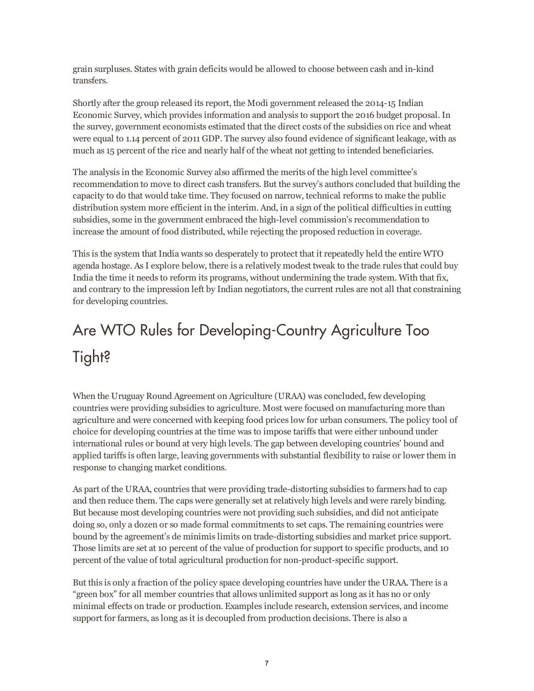grain surpluses. States with grain deficits would be allowed to choose between cash and inkind transfers.

Shortly after the group released its report, the Modi government released the 2014-15 Indian Economic Survey, which provides information and analysis to support the 2016 budget proposal. In the survey, government economists estimated that the direct costs of the subsidies on rice and wheat were equal to 1.14 percent of 2011 GDP. The survey also found evidence of significant leakage, with as much as 15 percent of the rice and nearly half of the wheat not getting to intended beneficiaries.

The analysis in the Economic Survey also affirmed the merits of the high level committee's recommendation to move to direct cash transfers. But the survey's authors concluded that building the capacity to do that would take time. They focused on narrow, technical reforms to make the public distribution system more efficient in the interim. And, in a sign of the political difficulties in cutting subsidies, some in the government embraced the high-level commission's recommendation to increase the amount of food distributed, while rejecting the proposed reduction in coverage.

This is the system that India wants so desperately to protect that it repeatedly held the entire WTO agenda hostage. As I explore below, there is a relatively modest tweak to the trade rules that could buy India the time it needs to reform its programs, without undermining the trade system. With that fix, and contrary to the impression left by Indian negotiators, the current rules are not all that constraining for developing countries.

## Are WTO Rules for Developing-Country Agriculture Too Tight?

When the Uruguay Round Agreement on Agriculture (URAA) was concluded, few developing countries were providing subsidies to agriculture. Most were focused on manufacturing more than agriculture and were concerned with keeping food prices low for urban consumers. The policy tool of choice for developing countries at the time was to impose tariffs that were either unbound under international rules or bound at very high levels. The gap between developing countries' bound and applied tariffs is often large, leaving governments with substantial flexibility to raise or lower them in response to changing market conditions.

As part of the URAA, countries that were providing trade-distorting subsidies to farmers had to cap and then reduce them. The caps were generally set at relatively high levels and were rarely binding. But because most developing countries were not providing such subsidies, and did not anticipate doing so, only a dozen or so made formal commitments to set caps. The remaining countries were bound by the agreement's de minimis limits on tradedistorting subsidies and market price support. Those limits are set at 10 percent of the value of production for support to specific products, and 10 percent of the value of total agricultural production for non-product-specific support.

But this is only a fraction of the policy space developing countries have under the URAA. There is a "green box" for all member countries that allows unlimited support as long as it has no or only minimal effects on trade or production. Examples include research, extension services, and income support for farmers, as long as it is decoupled from production decisions. There is also a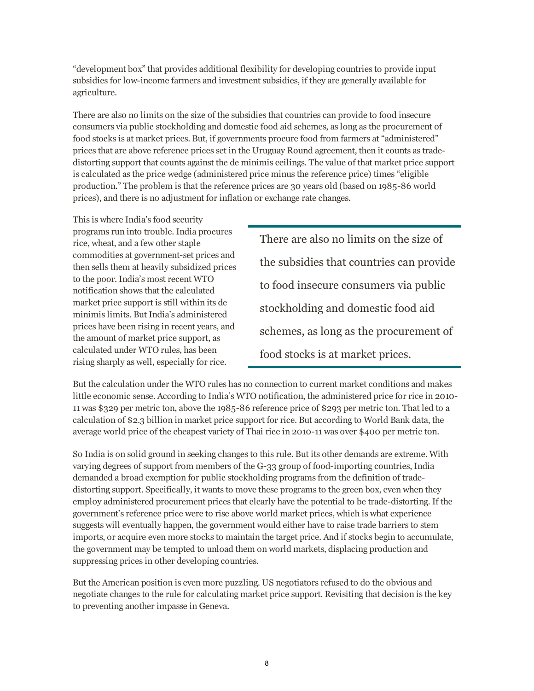"development box" that provides additional flexibility for developing countries to provide input subsidies for low-income farmers and investment subsidies, if they are generally available for agriculture.

There are also no limits on the size of the subsidies that countries can provide to food insecure consumers via public stockholding and domestic food aid schemes, as long as the procurement of food stocks is at market prices. But, if governments procure food from farmers at "administered" prices that are above reference prices set in the Uruguay Round agreement, then it counts as tradedistorting support that counts against the de minimis ceilings. The value of that market price support is calculated as the price wedge (administered price minus the reference price) times "eligible production." The problem is that the reference prices are 30 years old (based on 1985-86 world prices), and there is no adjustment for inflation or exchange rate changes.

This is where India's food security programs run into trouble. India procures rice, wheat, and a few other staple commodities at government-set prices and then sells them at heavily subsidized prices to the poor. India's most recent WTO notification shows that the calculated market price support is still within its de minimis limits. But India's administered prices have been rising in recent years, and the amount of market price support, as calculated under WTO rules, has been rising sharply as well, especially for rice.

There are also no limits on the size of the subsidies that countries can provide to food insecure consumers via public stockholding and domestic food aid schemes, as long as the procurement of food stocks is at market prices.

But the calculation under the WTO rules has no connection to current market conditions and makes little economic sense. According to India's WTO notification, the administered price for rice in 2010 11 was \$329 per metric ton, above the  $1985-86$  reference price of \$293 per metric ton. That led to a calculation of \$2.3 billion in market price support for rice. But according to World Bank data, the average world price of the cheapest variety of Thai rice in 2010-11 was over \$400 per metric ton.

So India is on solid ground in seeking changes to this rule. But its other demands are extreme. With varying degrees of support from members of the G-33 group of food-importing countries, India demanded a broad exemption for public stockholding programs from the definition of tradedistorting support. Specifically, it wants to move these programs to the green box, even when they employ administered procurement prices that clearly have the potential to be trade-distorting. If the government's reference price were to rise above world market prices, which is what experience suggests will eventually happen, the government would either have to raise trade barriers to stem imports, or acquire even more stocks to maintain the target price. And if stocks begin to accumulate, the government may be tempted to unload them on world markets, displacing production and suppressing prices in other developing countries.

But the American position is even more puzzling. US negotiators refused to do the obvious and negotiate changes to the rule for calculating market price support. Revisiting that decision is the key to preventing another impasse in Geneva.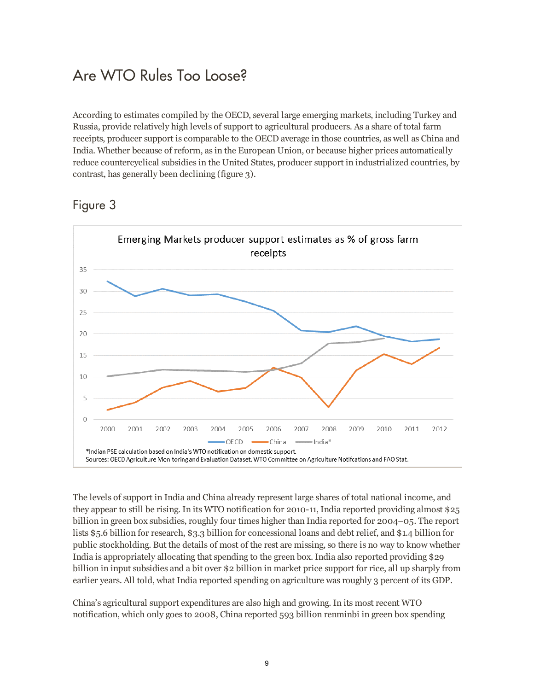### Are WTO Rules Too Loose?

According to estimates compiled by the OECD, several large emerging markets, including Turkey and Russia, provide relatively high levels of support to agricultural producers. As a share of total farm receipts, producer support is comparable to the OECD average in those countries, as well as China and India. Whether because of reform, as in the European Union, or because higher prices automatically reduce countercyclical subsidies in the United States, producer support in industrialized countries, by contrast, has generally been declining (figure 3).



#### Figure 3

The levels of support in India and China already represent large shares of total national income, and they appear to still be rising. In its WTO notification for 2010-11, India reported providing almost  $$25$ billion in green box subsidies, roughly four times higher than India reported for 2004–05. The report lists \$5.6 billion for research, \$3.3 billion for concessional loans and debt relief, and \$1.4 billion for public stockholding. But the details of most of the rest are missing, so there is no way to know whether India is appropriately allocating that spending to the green box. India also reported providing \$29 billion in input subsidies and a bit over \$2 billion in market price support for rice, all up sharply from earlier years. All told, what India reported spending on agriculture was roughly 3 percent of its GDP.

China's agricultural support expenditures are also high and growing. In its most recent WTO notification, which only goes to 2008, China reported 593 billion renminbi in green box spending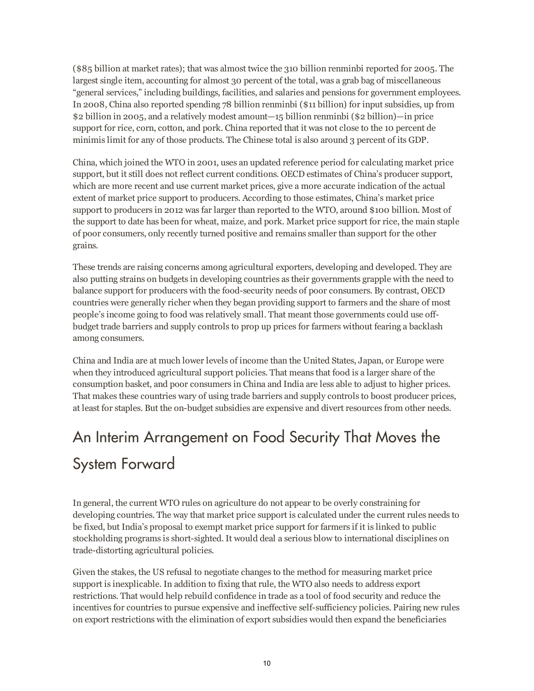(\$85 billion at market rates); that was almost twice the 310 billion renminbi reported for 2005. The largest single item, accounting for almost 30 percent of the total, was a grab bag of miscellaneous "general services," including buildings, facilities, and salaries and pensions for government employees. In 2008, China also reported spending 78 billion renminbi (\$11 billion) for input subsidies, up from \$2 billion in 2005, and a relatively modest amount—15 billion renminbi (\$2 billion)—in price support for rice, corn, cotton, and pork. China reported that it was not close to the 10 percent de minimis limit for any of those products. The Chinese total is also around 3 percent of its GDP.

China, which joined the WTO in 2001, uses an updated reference period for calculating market price support, but it still does not reflect current conditions. OECD estimates of China's producer support, which are more recent and use current market prices, give a more accurate indication of the actual extent of market price support to producers. According to those estimates, China's market price support to producers in 2012 was far larger than reported to the WTO, around \$100 billion. Most of the support to date has been for wheat, maize, and pork. Market price support for rice, the main staple of poor consumers, only recently turned positive and remains smaller than support for the other grains.

These trends are raising concerns among agricultural exporters, developing and developed. They are also putting strains on budgets in developing countries as their governments grapple with the need to balance support for producers with the food-security needs of poor consumers. By contrast, OECD countries were generally richer when they began providing support to farmers and the share of most people's income going to food was relatively small. That meant those governments could use offbudget trade barriers and supply controls to prop up prices for farmers without fearing a backlash among consumers.

China and India are at much lower levels of income than the United States, Japan, or Europe were when they introduced agricultural support policies. That means that food is a larger share of the consumption basket, and poor consumers in China and India are less able to adjust to higher prices. That makes these countries wary of using trade barriers and supply controls to boost producer prices, at least for staples. But the on-budget subsidies are expensive and divert resources from other needs.

## An Interim Arrangement on Food Security That Moves the System Forward

In general, the current WTO rules on agriculture do not appear to be overly constraining for developing countries. The way that market price support is calculated under the current rules needs to be fixed, but India's proposal to exempt market price support for farmers if it is linked to public stockholding programs is short-sighted. It would deal a serious blow to international disciplines on trade-distorting agricultural policies.

Given the stakes, the US refusal to negotiate changes to the method for measuring market price support is inexplicable. In addition to fixing that rule, the WTO also needs to address export restrictions. That would help rebuild confidence in trade as a tool of food security and reduce the incentives for countries to pursue expensive and ineffective self-sufficiency policies. Pairing new rules on export restrictions with the elimination of export subsidies would then expand the beneficiaries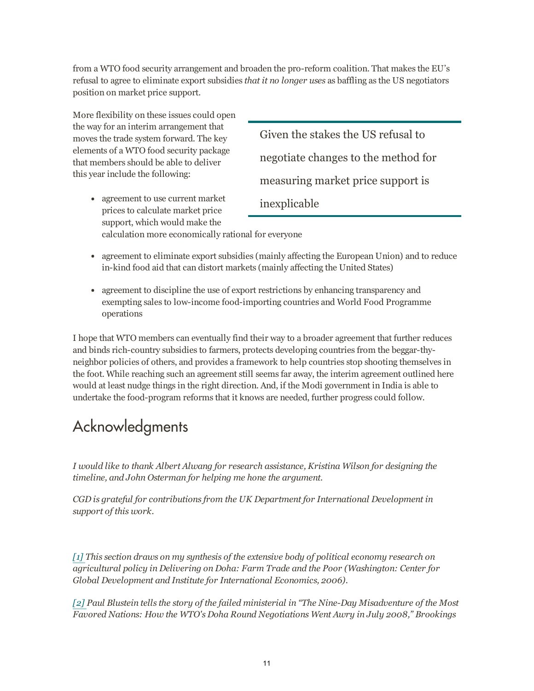from a WTO food security arrangement and broaden the pro-reform coalition. That makes the EU's refusal to agree to eliminate export subsidies that it no longer uses as baffling as the US negotiators position on market price support.

More flexibility on these issues could open the way for an interim arrangement that moves the trade system forward. The key elements of a WTO food security package that members should be able to deliver this year include the following:

Given the stakes the US refusal to negotiate changes to the method for measuring market price support is inexplicable

- agreement to use current market prices to calculate market price support, which would make the calculation more economically rational for everyone
- agreement to eliminate export subsidies (mainly affecting the European Union) and to reduce in-kind food aid that can distort markets (mainly affecting the United States)
- agreement to discipline the use of export restrictions by enhancing transparency and exempting sales to low-income food-importing countries and World Food Programme operations

I hope that WTO members can eventually find their way to a broader agreement that further reduces and binds rich-country subsidies to farmers, protects developing countries from the beggar-thyneighbor policies of others, and provides a framework to help countries stop shooting themselves in the foot. While reaching such an agreement still seems far away, the interim agreement outlined here would at least nudge things in the right direction. And, if the Modi government in India is able to undertake the food-program reforms that it knows are needed, further progress could follow.

## Acknowledgments

I would like to thank Albert Alwang for research assistance, Kristina Wilson for designing the timeline, and John Osterman for helping me hone the argument.

CGD is grateful for contributions from the UK Department for International Development in support of this work.

[\[1\] T](javascript:void(0);)his section draws on my synthesis of the extensive body of political economy research on agricultural policy in Delivering on Doha: Farm Trade and the Poor (Washington: Center for Global Development and Institute for International Economics, 2006).

 $\lceil 2 \rceil$  Paul Blustein tells the story of the failed ministerial in "The Nine-Day Misadventure of the Most Favored Nations: How the WTO's Doha Round Negotiations Went Awry in July 2008," Brookings